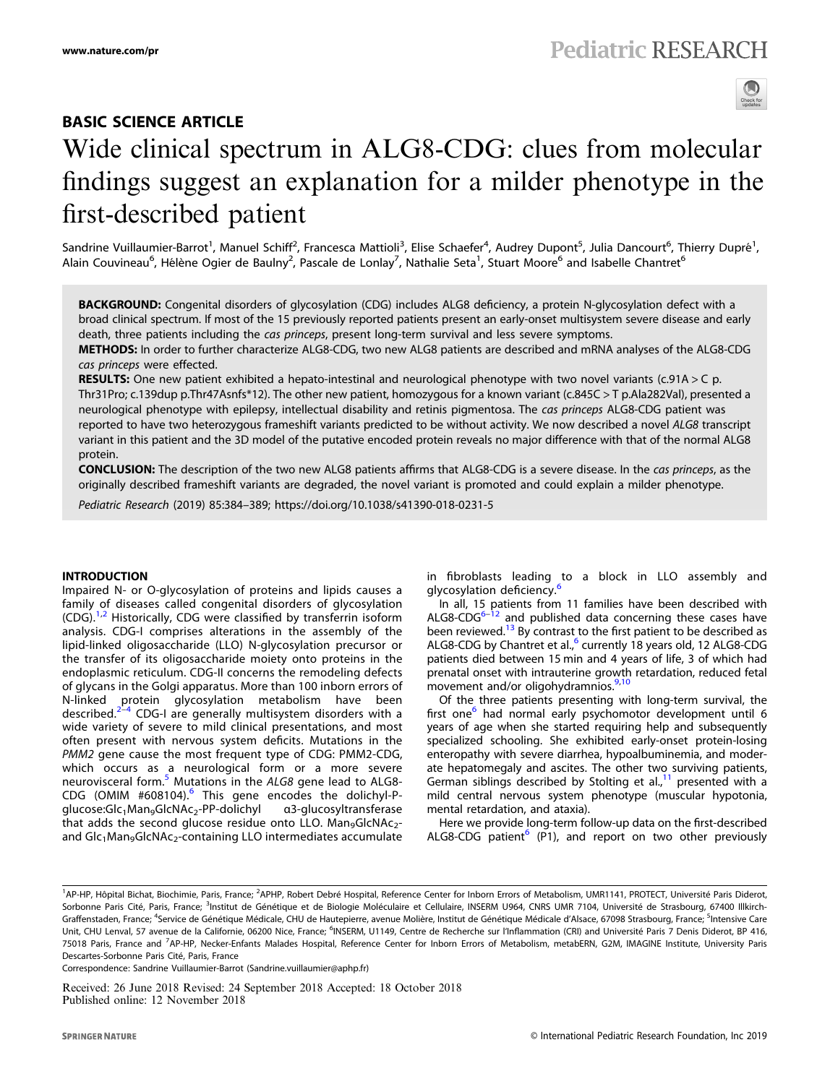# BASIC SCIENCE ARTICLE Wide clinical spectrum in ALG8-CDG: clues from molecular findings suggest an explanation for a milder phenotype in the first-described patient

Sandrine Vuillaumier-Barrot<sup>1</sup>, Manuel Schiff<sup>2</sup>, Francesca Mattioli<sup>3</sup>, Elise Schaefer<sup>4</sup>, Audrey Dupont<sup>5</sup>, Julia Dancourt<sup>6</sup>, Thierry Dupré<sup>1</sup>, Alain Couvineau<sup>6</sup>, Hélène Ogier de Baulny<sup>2</sup>, Pascale de Lonlay<sup>7</sup>, Nathalie Seta<sup>1</sup>, Stuart Moore<sup>6</sup> and Isabelle Chantret<sup>6</sup>

BACKGROUND: Congenital disorders of glycosylation (CDG) includes ALG8 deficiency, a protein N-glycosylation defect with a broad clinical spectrum. If most of the 15 previously reported patients present an early-onset multisystem severe disease and early death, three patients including the cas princeps, present long-term survival and less severe symptoms. METHODS: In order to further characterize ALG8-CDG, two new ALG8 patients are described and mRNA analyses of the ALG8-CDG

cas princeps were effected.

**RESULTS:** One new patient exhibited a hepato-intestinal and neurological phenotype with two novel variants (c.91A > C p. Thr31Pro; c.139dup p.Thr47Asnfs\*12). The other new patient, homozygous for a known variant (c.845C > T p.Ala282Val), presented a neurological phenotype with epilepsy, intellectual disability and retinis pigmentosa. The cas princeps ALG8-CDG patient was reported to have two heterozygous frameshift variants predicted to be without activity. We now described a novel ALG8 transcript variant in this patient and the 3D model of the putative encoded protein reveals no major difference with that of the normal ALG8 protein.

CONCLUSION: The description of the two new ALG8 patients affirms that ALG8-CDG is a severe disease. In the cas princeps, as the originally described frameshift variants are degraded, the novel variant is promoted and could explain a milder phenotype.

Pediatric Research (2019) 85:384–389; https://doi.org/10.1038/s41390-018-0231-5

Impaired N- or O-glycosylation of proteins and lipids causes a family of diseases called congenital disorders of glycosylation  $(CDG).$ <sup>[1](#page-4-0),[2](#page-4-0)</sup> Historically, CDG were classified by transferrin isoform analysis. CDG-I comprises alterations in the assembly of the lipid-linked oligosaccharide (LLO) N-glycosylation precursor or the transfer of its oligosaccharide moiety onto proteins in the endoplasmic reticulum. CDG-II concerns the remodeling defects of glycans in the Golgi apparatus. More than 100 inborn errors of N-linked protein glycosylation metabolism have been<br>described.<sup>[2](#page-4-0)–[4](#page-4-0)</sup> CDG-I are-generally-multisystem-disorders-with-a wide variety of severe to mild clinical presentations, and most often present with nervous system deficits. Mutations in the PMM2 gene cause the most frequent type of CDG: PMM2-CDG, which occurs as a neurological form or a more severe neurovisceral form.<sup>[5](#page-4-0)</sup> Mutations in the ALG8 gene lead to ALG8-CDG (OMIM #[6](#page-4-0)08104).<sup>6</sup> This gene encodes the dolichyl-Pglucose:Glc<sub>1</sub>Man<sub>9</sub>GlcNAc<sub>2</sub>-PP-dolichyl a3-glucosyltransferase that adds the second glucose residue onto LLO. Man<sub>9</sub>GlcNAc<sub>2</sub>and  $Glc<sub>1</sub>Man<sub>9</sub>GlcNAc<sub>2</sub>$ -containing LLO intermediates accumulate

in fibroblasts leading to a block in LLO assembly and glycosylation deficiency.<sup>[6](#page-4-0)</sup>

In all, 15 patients from 11 families have been described with ALG8-CDG<sup>[6](#page-4-0)-[12](#page-4-0)</sup> and published data concerning these cases have been reviewed.<sup>[13](#page-4-0)</sup> By contrast to the first patient to be described as ALG8-CDG by Chantret et al.,<sup>[6](#page-4-0)</sup> currently 18 years old, 12 ALG8-CDG patients died between 15 min and 4 years of life, 3 of which had prenatal onset with intrauterine growth retardation, reduced fetal movement and/or oligohydramnios.<sup>[9,10](#page-4-0)</sup>

Of the three patients presenting with long-term survival, the first one<sup>[6](#page-4-0)</sup> had normal early psychomotor development until 6 years of age when she started requiring help and subsequently specialized schooling. She exhibited early-onset protein-losing enteropathy with severe diarrhea, hypoalbuminemia, and moderate hepatomegaly and ascites. The other two surviving patients, German siblings described by Stolting et al., $11$  presented with a mild central nervous system phenotype (muscular hypotonia, mental retardation, and ataxia).

Here we provide long-term follow-up data on the first-described ALG8-CDG patient<sup>[6](#page-4-0)</sup> (P1), and report on two other previously

Correspondence: Sandrine Vuillaumier-Barrot ([Sandrine.vuillaumier@aphp.fr](mailto:Sandrine.vuillaumier@aphp.fr))

Received: 26 June 2018 Revised: 24 September 2018 Accepted: 18 October 2018 Published online: 12 November 2018

<sup>&</sup>lt;sup>1</sup>AP-HP, Hôpital Bichat, Biochimie, Paris, France; <sup>2</sup>APHP, Robert Debré Hospital, Reference Center for Inborn Errors of Metabolism, UMR1141, PROTECT, Université Paris Diderot, Sorbonne Paris Cité, Paris, France; <sup>3</sup>Institut de Génétique et de Biologie Moléculaire et Cellulaire, INSERM U964, CNRS UMR 7104, Université de Strasbourg, 67400 Illkirch-Graffenstaden, France; <sup>4</sup>Service de Génétique Médicale, CHU de Hautepierre, avenue Molière, Institut de Génétique Médicale d'Alsace, 67098 Strasbourg, France; <sup>5</sup>Intensive Care Unit, CHU Lenval, 57 avenue de la Californie, 06200 Nice, France; <sup>6</sup>INSERM, U1149, Centre de Recherche sur l'Inflammation (CRI) and Université Paris 7 Denis Diderot, BP 416, 75018 Paris, France and <sup>7</sup>AP-HP, Necker-Enfants Malades Hospital, Reference Center for Inborn Errors of Metabolism, metabERN, G2M, IMAGINE Institute, University Paris Descartes-Sorbonne Paris Cité, Paris, France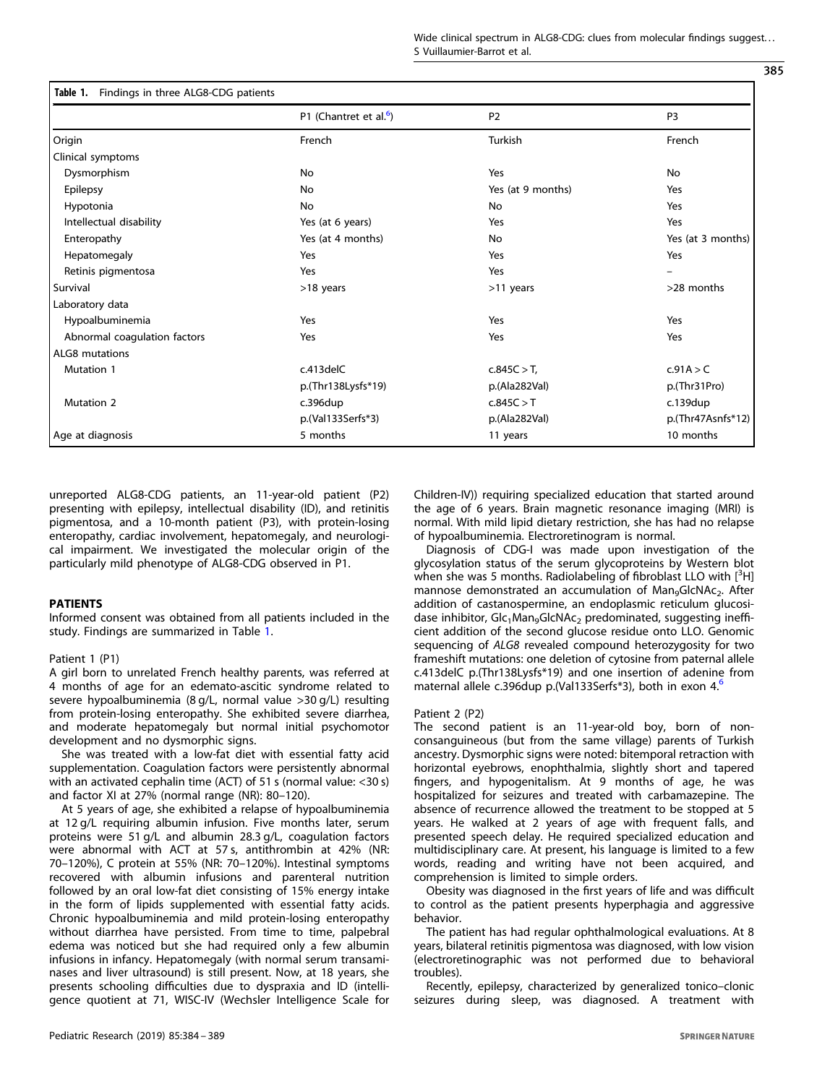Wide clinical spectrum in ALG8-CDG: clues from molecular findings suggest... S Vuillaumier-Barrot et al.

<span id="page-1-0"></span>

|                              | P1 (Chantret et al. <sup>6</sup> ) | P <sub>2</sub>    | P <sub>3</sub>      |  |
|------------------------------|------------------------------------|-------------------|---------------------|--|
| Origin                       | French                             | Turkish           | French              |  |
| Clinical symptoms            |                                    |                   |                     |  |
| Dysmorphism                  | <b>No</b>                          | Yes               | No                  |  |
| Epilepsy                     | No                                 | Yes (at 9 months) | Yes                 |  |
| Hypotonia                    | <b>No</b>                          | No                | Yes                 |  |
| Intellectual disability      | Yes (at 6 years)                   | Yes               | Yes                 |  |
| Enteropathy                  | Yes (at 4 months)                  | No                | Yes (at 3 months)   |  |
| Hepatomegaly                 | Yes                                | Yes               | Yes                 |  |
| Retinis pigmentosa           | Yes                                | Yes               |                     |  |
| Survival                     | >18 years                          | >11 years         | >28 months          |  |
| Laboratory data              |                                    |                   |                     |  |
| Hypoalbuminemia              | Yes                                | Yes               | Yes                 |  |
| Abnormal coagulation factors | Yes                                | Yes               | Yes                 |  |
| ALG8 mutations               |                                    |                   |                     |  |
| <b>Mutation 1</b>            | c.413delC                          | c.845C > T,       | c.91A > C           |  |
|                              | p.(Thr138Lysfs*19)                 | p.(Ala282Val)     | p.(Thr31Pro)        |  |
| <b>Mutation 2</b>            | c.396dup                           | c.845C > T        | $c.139$ dup         |  |
|                              | p.(Val133Serfs*3)                  | p.(Ala282Val)     | $p.(Thr47Asnfs*12)$ |  |
| Age at diagnosis             | 5 months                           | 11 years          | 10 months           |  |

unreported ALG8-CDG patients, an 11-year-old patient (P2) presenting with epilepsy, intellectual disability (ID), and retinitis pigmentosa, and a 10-month patient (P3), with protein-losing enteropathy, cardiac involvement, hepatomegaly, and neurological impairment. We investigated the molecular origin of the particularly mild phenotype of ALG8-CDG observed in P1.

# **PATIENTS**

Informed consent was obtained from all patients included in the study. Findings are summarized in Table 1.

# Patient 1 (P1)

A girl born to unrelated French healthy parents, was referred at 4 months of age for an edemato-ascitic syndrome related to severe hypoalbuminemia (8 g/L, normal value >30 g/L) resulting from protein-losing enteropathy. She exhibited severe diarrhea, and moderate hepatomegaly but normal initial psychomotor development and no dysmorphic signs.

She was treated with a low-fat diet with essential fatty acid supplementation. Coagulation factors were persistently abnormal with an activated cephalin time (ACT) of 51 s (normal value: <30 s) and factor XI at 27% (normal range (NR): 80–120).

At 5 years of age, she exhibited a relapse of hypoalbuminemia at 12 g/L requiring albumin infusion. Five months later, serum proteins were 51 g/L and albumin 28.3 g/L, coagulation factors were abnormal with ACT at 57 s, antithrombin at 42% (NR: 70–120%), C protein at 55% (NR: 70–120%). Intestinal symptoms recovered with albumin infusions and parenteral nutrition followed by an oral low-fat diet consisting of 15% energy intake in the form of lipids supplemented with essential fatty acids. Chronic hypoalbuminemia and mild protein-losing enteropathy without diarrhea have persisted. From time to time, palpebral edema was noticed but she had required only a few albumin infusions in infancy. Hepatomegaly (with normal serum transaminases and liver ultrasound) is still present. Now, at 18 years, she presents schooling difficulties due to dyspraxia and ID (intelligence quotient at 71, WISC-IV (Wechsler Intelligence Scale for Children-IV)) requiring specialized education that started around the age of 6 years. Brain magnetic resonance imaging (MRI) is normal. With mild lipid dietary restriction, she has had no relapse of hypoalbuminemia. Electroretinogram is normal.

Diagnosis of CDG-I was made upon investigation of the glycosylation status of the serum glycoproteins by Western blot when she was 5 months. Radiolabeling of fibroblast LLO with  $[3H]$ mannose demonstrated an accumulation of Man<sub>9</sub>GlcNAc<sub>2</sub>. After addition of castanospermine, an endoplasmic reticulum glucosidase inhibitor,  $Glc<sub>1</sub>Man<sub>9</sub>GlcNAc<sub>2</sub>$  predominated, suggesting inefficient addition of the second glucose residue onto LLO. Genomic sequencing of ALG8 revealed compound heterozygosity for two frameshift mutations: one deletion of cytosine from paternal allele c.413delC p.(Thr138Lysfs\*19) and one insertion of adenine from maternal allele c.39[6](#page-4-0)dup p.(Val133Serfs\*3), both in exon 4.<sup>6</sup>

### Patient 2 (P2)

The second patient is an 11-year-old boy, born of nonconsanguineous (but from the same village) parents of Turkish ancestry. Dysmorphic signs were noted: bitemporal retraction with horizontal eyebrows, enophthalmia, slightly short and tapered fingers, and hypogenitalism. At 9 months of age, he was hospitalized for seizures and treated with carbamazepine. The absence of recurrence allowed the treatment to be stopped at 5 years. He walked at 2 years of age with frequent falls, and presented speech delay. He required specialized education and multidisciplinary care. At present, his language is limited to a few words, reading and writing have not been acquired, and comprehension is limited to simple orders.

Obesity was diagnosed in the first years of life and was difficult to control as the patient presents hyperphagia and aggressive behavior.

The patient has had regular ophthalmological evaluations. At 8 years, bilateral retinitis pigmentosa was diagnosed, with low vision (electroretinographic was not performed due to behavioral troubles).

Recently, epilepsy, characterized by generalized tonico–clonic seizures during sleep, was diagnosed. A treatment with

385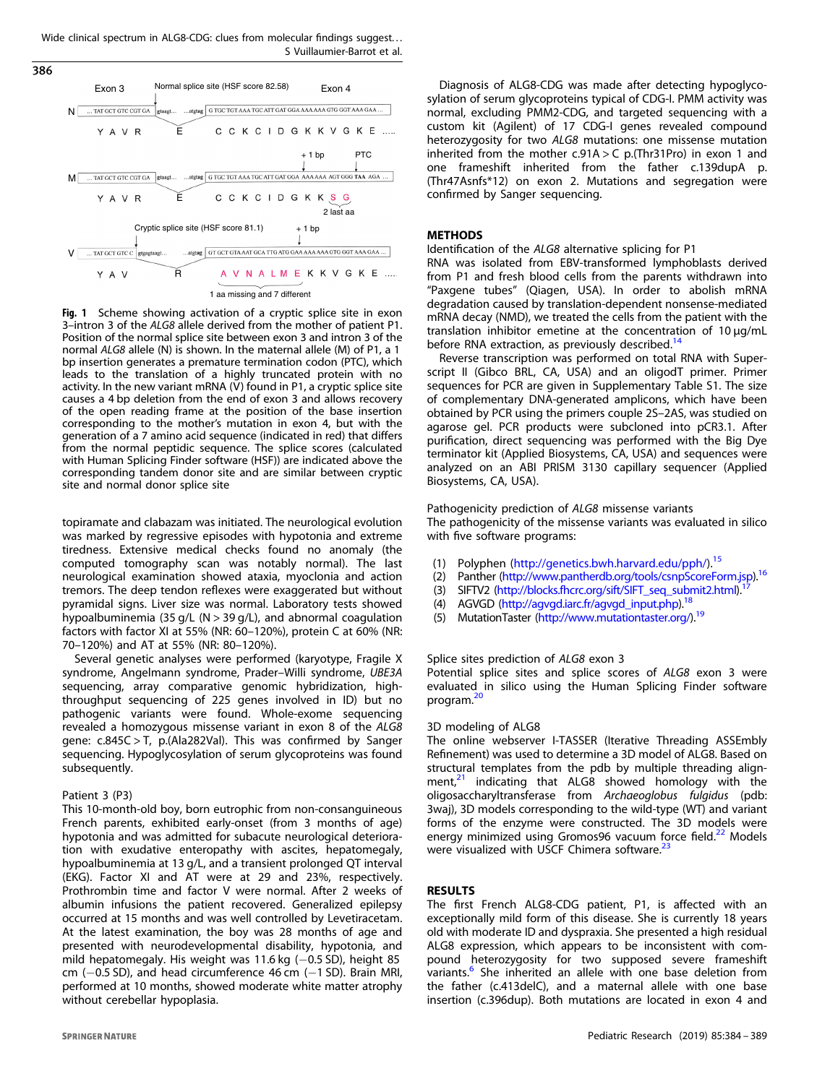<span id="page-2-0"></span>Wide clinical spectrum in ALG8-CDG: clues from molecular findings suggest. . . S Vuillaumier-Barrot et al.

386



Fig. 1 Scheme showing activation of a cryptic splice site in exon 3–intron 3 of the ALG8 allele derived from the mother of patient P1. Position of the normal splice site between exon 3 and intron 3 of the normal ALG8 allele (N) is shown. In the maternal allele (M) of P1, a 1 bp insertion generates a premature termination codon (PTC), which leads to the translation of a highly truncated protein with no activity. In the new variant mRNA  $(V)$  found in P1, a cryptic splice site causes a 4 bp deletion from the end of exon 3 and allows recovery of the open reading frame at the position of the base insertion corresponding to the mother's mutation in exon 4, but with the generation of a 7 amino acid sequence (indicated in red) that differs from the normal peptidic sequence. The splice scores (calculated with Human Splicing Finder software (HSF)) are indicated above the corresponding tandem donor site and are similar between cryptic site and normal donor splice site

topiramate and clabazam was initiated. The neurological evolution was marked by regressive episodes with hypotonia and extreme tiredness. Extensive medical checks found no anomaly (the computed tomography scan was notably normal). The last neurological examination showed ataxia, myoclonia and action tremors. The deep tendon reflexes were exaggerated but without pyramidal signs. Liver size was normal. Laboratory tests showed hypoalbuminemia (35 g/L ( $N > 39$  g/L), and abnormal coagulation factors with factor XI at 55% (NR: 60–120%), protein C at 60% (NR: 70–120%) and AT at 55% (NR: 80–120%).

Several genetic analyses were performed (karyotype, Fragile X syndrome, Angelmann syndrome, Prader–Willi syndrome, UBE3A sequencing, array comparative genomic hybridization, highthroughput sequencing of 225 genes involved in ID) but no pathogenic variants were found. Whole-exome sequencing revealed a homozygous missense variant in exon 8 of the ALG8 gene: c.845C > T, p.(Ala282Val). This was confirmed by Sanger sequencing. Hypoglycosylation of serum glycoproteins was found subsequently.

### Patient 3 (P3)

This 10-month-old boy, born eutrophic from non-consanguineous French parents, exhibited early-onset (from 3 months of age) hypotonia and was admitted for subacute neurological deterioration with exudative enteropathy with ascites, hepatomegaly, hypoalbuminemia at 13 g/L, and a transient prolonged QT interval (EKG). Factor XI and AT were at 29 and 23%, respectively. Prothrombin time and factor V were normal. After 2 weeks of albumin infusions the patient recovered. Generalized epilepsy occurred at 15 months and was well controlled by Levetiracetam. At the latest examination, the boy was 28 months of age and presented with neurodevelopmental disability, hypotonia, and mild hepatomegaly. His weight was 11.6 kg (−0.5 SD), height 85 cm (−0.5 SD), and head circumference 46 cm (−1 SD). Brain MRI, performed at 10 months, showed moderate white matter atrophy without cerebellar hypoplasia.

Diagnosis of ALG8-CDG was made after detecting hypoglycosylation of serum glycoproteins typical of CDG-I. PMM activity was normal, excluding PMM2-CDG, and targeted sequencing with a custom kit (Agilent) of 17 CDG-I genes revealed compound heterozygosity for two ALG8 mutations: one missense mutation inherited from the mother c.91A > C p.(Thr31Pro) in exon 1 and one frameshift inherited from the father c.139dupA p. (Thr47Asnfs\*12) on exon 2. Mutations and segregation were confirmed by Sanger sequencing.

## **METHODS**

Identification of the ALG8 alternative splicing for P1

RNA was isolated from EBV-transformed lymphoblasts derived from P1 and fresh blood cells from the parents withdrawn into "Paxgene tubes" (Qiagen, USA). In order to abolish mRNA degradation caused by translation-dependent nonsense-mediated mRNA decay (NMD), we treated the cells from the patient with the translation inhibitor emetine at the concentration of 10 µg/mL before RNA extraction, as previously described.<sup>[14](#page-4-0)</sup>

Reverse transcription was performed on total RNA with Superscript II (Gibco BRL, CA, USA) and an oligodT primer. Primer sequences for PCR are given in Supplementary Table S1. The size of complementary DNA-generated amplicons, which have been obtained by PCR using the primers couple 2S–2AS, was studied on agarose gel. PCR products were subcloned into pCR3.1. After purification, direct sequencing was performed with the Big Dye terminator kit (Applied Biosystems, CA, USA) and sequences were analyzed on an ABI PRISM 3130 capillary sequencer (Applied Biosystems, CA, USA).

Pathogenicity prediction of ALG8 missense variants

The pathogenicity of the missense variants was evaluated in silico with five software programs:

- (1) Polyphen (<http://genetics.bwh.harvard.edu/pph/>).<sup>[15](#page-4-0)</sup>
- (2) Panther [\(http://www.pantherdb.org/tools/csnpScoreForm.jsp\)](http://www.pantherdb.org/tools/csnpScoreForm.jsp).[16](#page-4-0)
- (3) SIFTV2 [\(http://blocks.fhcrc.org/sift/SIFT\\_seq\\_submit2.html\)](http://blocks.fhcrc.org/sift/SIFT_seq_submit2.html).
- (4) AGVGD [\(http://agvgd.iarc.fr/agvgd\\_input.php\)](http://agvgd.iarc.�fr/agvgd_input.php).[18](#page-4-0)
- (5) MutationTaster [\(http://www.mutationtaster.org/](http://www.mutationtaster.org/))[.19](#page-4-0)

### Splice sites prediction of ALG8 exon 3

Potential splice sites and splice scores of ALG8 exon 3 were evaluated in silico using the Human Splicing Finder software program.<sup>20</sup>

### 3D modeling of ALG8

The online webserver I-TASSER (Iterative Threading ASSEmbly Refinement) was used to determine a 3D model of ALG8. Based on structural templates from the pdb by multiple threading alignment, $21$  indicating that ALG8 showed homology with the oligosaccharyltransferase from Archaeoglobus fulgidus (pdb: 3waj), 3D models corresponding to the wild-type (WT) and variant forms of the enzyme were constructed. The 3D models were energy minimized using Gromos96 vacuum force field.<sup>[22](#page-4-0)</sup> Models were visualized with USCF Chimera software.<sup>[23](#page-5-0)</sup>

### **RESULTS**

The first French ALG8-CDG patient, P1, is affected with an exceptionally mild form of this disease. She is currently 18 years old with moderate ID and dyspraxia. She presented a high residual ALG8 expression, which appears to be inconsistent with compound heterozygosity for two supposed severe frameshift variants.<sup>6</sup> She inherited an allele with one base deletion from the father (c.413delC), and a maternal allele with one base insertion (c.396dup). Both mutations are located in exon 4 and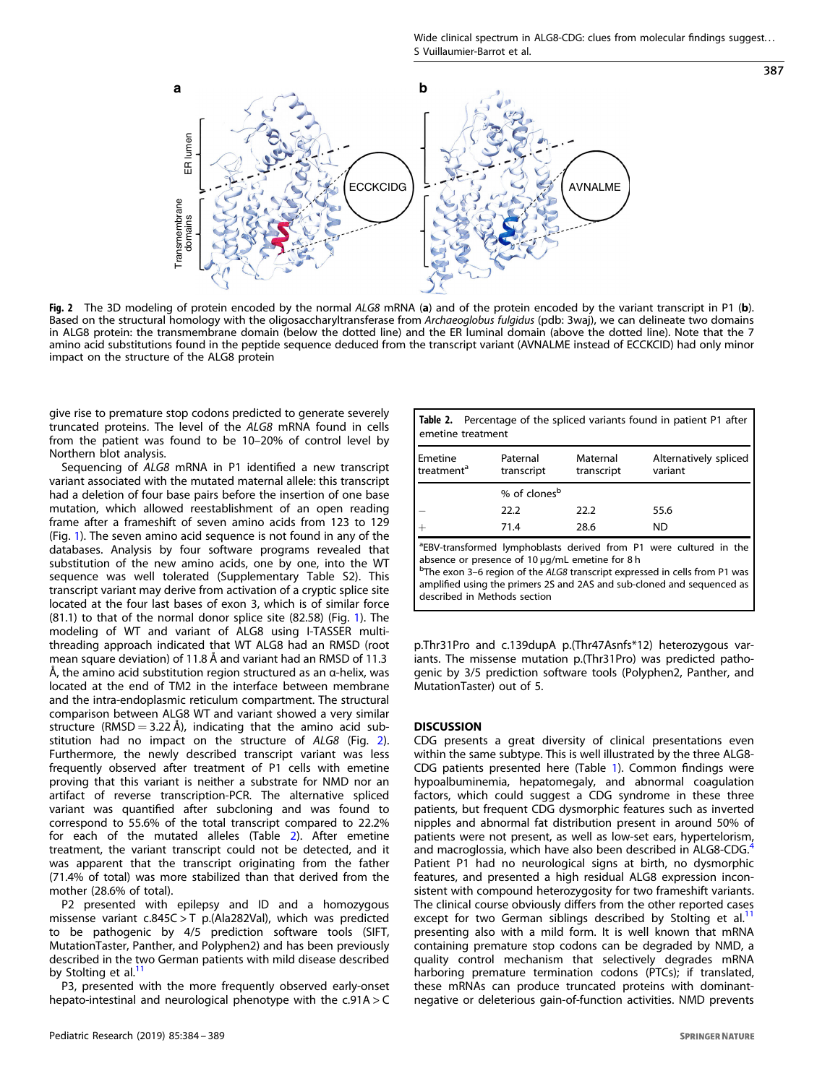Wide clinical spectrum in ALG8-CDG: clues from molecular findings suggest... S Vuillaumier-Barrot et al.

387

<span id="page-3-0"></span>

Fig. 2 The 3D modeling of protein encoded by the normal ALG8 mRNA (a) and of the protein encoded by the variant transcript in P1 (b). Based on the structural homology with the oligosaccharyltransferase from Archaeoglobus fulgidus (pdb: 3waj), we can delineate two domains in ALG8 protein: the transmembrane domain (below the dotted line) and the ER luminal domain (above the dotted line). Note that the 7 amino acid substitutions found in the peptide sequence deduced from the transcript variant (AVNALME instead of ECCKCID) had only minor impact on the structure of the ALG8 protein

give rise to premature stop codons predicted to generate severely truncated proteins. The level of the ALG8 mRNA found in cells from the patient was found to be 10–20% of control level by Northern blot analysis.

Sequencing of ALG8 mRNA in P1 identified a new transcript variant associated with the mutated maternal allele: this transcript had a deletion of four base pairs before the insertion of one base mutation, which allowed reestablishment of an open reading frame after a frameshift of seven amino acids from 123 to 129 (Fig. [1\)](#page-2-0). The seven amino acid sequence is not found in any of the databases. Analysis by four software programs revealed that substitution of the new amino acids, one by one, into the WT sequence was well tolerated (Supplementary Table S2). This transcript variant may derive from activation of a cryptic splice site located at the four last bases of exon 3, which is of similar force (81.1) to that of the normal donor splice site (82.58) (Fig. [1\)](#page-2-0). The modeling of WT and variant of ALG8 using I-TASSER multithreading approach indicated that WT ALG8 had an RMSD (root mean square deviation) of 11.8 Å and variant had an RMSD of 11.3 Å, the amino acid substitution region structured as an α-helix, was located at the end of TM2 in the interface between membrane and the intra-endoplasmic reticulum compartment. The structural comparison between ALG8 WT and variant showed a very similar structure (RMSD = 3.22 Å), indicating that the amino acid substitution had no impact on the structure of ALG8 (Fig. 2). Furthermore, the newly described transcript variant was less frequently observed after treatment of P1 cells with emetine proving that this variant is neither a substrate for NMD nor an artifact of reverse transcription-PCR. The alternative spliced variant was quantified after subcloning and was found to correspond to 55.6% of the total transcript compared to 22.2% for each of the mutated alleles (Table 2). After emetine treatment, the variant transcript could not be detected, and it was apparent that the transcript originating from the father (71.4% of total) was more stabilized than that derived from the mother (28.6% of total).

P2 presented with epilepsy and ID and a homozygous missense variant c.845C > T p.(Ala282Val), which was predicted to be pathogenic by 4/5 prediction software tools (SIFT, MutationTaster, Panther, and Polyphen2) and has been previously described in the two German patients with mild disease described by Stolting et al. $<sup>11</sup>$  $<sup>11</sup>$  $<sup>11</sup>$ </sup>

P3, presented with the more frequently observed early-onset hepato-intestinal and neurological phenotype with the c.91A > C

| <b>Table 2.</b> Percentage of the spliced variants found in patient P1 after<br>emetine treatment |                          |                        |                                  |  |  |
|---------------------------------------------------------------------------------------------------|--------------------------|------------------------|----------------------------------|--|--|
| Emetine<br>treatment <sup>a</sup>                                                                 | Paternal<br>transcript   | Maternal<br>transcript | Alternatively spliced<br>variant |  |  |
|                                                                                                   | % of clones <sup>b</sup> |                        |                                  |  |  |
|                                                                                                   | 22.2                     | 22.2                   | 55.6                             |  |  |
|                                                                                                   | 71.4                     | 28.6                   | ND                               |  |  |

<sup>a</sup>EBV-transformed lymphoblasts derived from P1 were cultured in the absence or presence of 10 µg/mL emetine for 8 h

<sup>b</sup>The exon 3-6 region of the ALG8 transcript expressed in cells from P1 was amplified using the primers 2S and 2AS and sub-cloned and sequenced as described in Methods section

p.Thr31Pro and c.139dupA p.(Thr47Asnfs\*12) heterozygous variants. The missense mutation p.(Thr31Pro) was predicted pathogenic by 3/5 prediction software tools (Polyphen2, Panther, and MutationTaster) out of 5.

### **DISCUSSION**

**CDG** presents a great diversity of clinical presentations even within the same subtype. This is well illustrated by the three ALG8- CDG patients presented here (Table [1\)](#page-1-0). Common findings were hypoalbuminemia, hepatomegaly, and abnormal coagulation factors, which could suggest a CDG syndrome in these three patients, but frequent CDG dysmorphic features such as inverted nipples and abnormal fat distribution present in around 50% of patients were not present, as well as low-set ears, hypertelorism, and macroglossia, which have also been described in ALG8-CDG.<sup>[4](#page-4-0)</sup> Patient P1 had no neurological signs at birth, no dysmorphic features, and presented a high residual ALG8 expression inconsistent with compound heterozygosity for two frameshift variants. The clinical course obviously differs from the other reported cases except for two German siblings described by Stolting et al.<sup>1</sup> presenting also with a mild form. It is well known that mRNA containing premature stop codons can be degraded by NMD, a quality control mechanism that selectively degrades mRNA harboring premature termination codons (PTCs); if translated, these mRNAs can produce truncated proteins with dominantnegative or deleterious gain-of-function activities. NMD prevents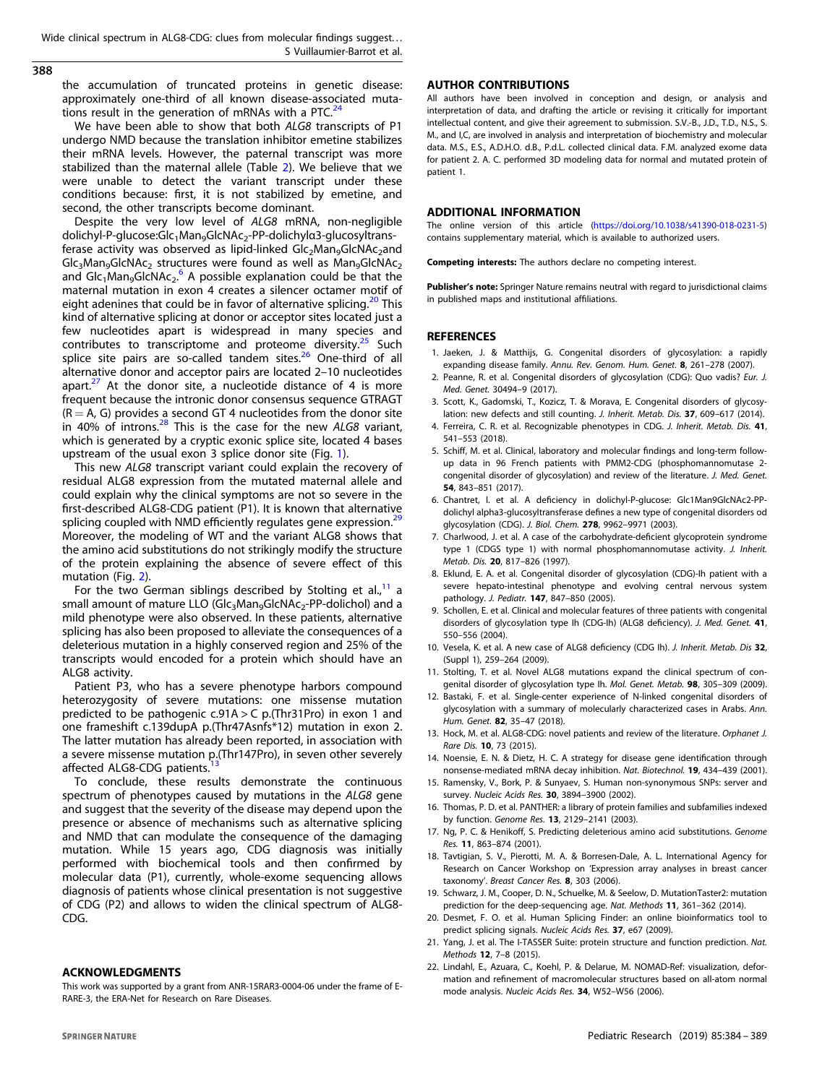<span id="page-4-0"></span>388

the accumulation of truncated proteins in genetic disease: approximately one-third of all known disease-associated muta-tions result in the generation of mRNAs with a PTC.<sup>[24](#page-5-0)</sup>

We have been able to show that both ALG8 transcripts of P1 undergo NMD because the translation inhibitor emetine stabilizes their mRNA levels. However, the paternal transcript was more stabilized than the maternal allele (Table [2\)](#page-3-0). We believe that we were unable to detect the variant transcript under these conditions because: first, it is not stabilized by emetine, and second, the other transcripts become dominant.

Despite the very low level of ALG8 mRNA, non-negligible dolichyl-P-glucose:Glc<sub>1</sub>Man<sub>9</sub>GlcNAc<sub>2</sub>-PP-dolichylα3-glucosyltransferase activity was observed as lipid-linked Glc<sub>2</sub>Man<sub>9</sub>GlcNAc<sub>2</sub>and  $Glc<sub>3</sub>Man<sub>9</sub>GlcNAc<sub>2</sub> structures were found as well as Man<sub>9</sub>GlcNAc<sub>2</sub>$ and  $Glc<sub>1</sub>Man<sub>9</sub>GlcNAc<sub>2</sub>$ . A possible explanation could be that the maternal mutation in exon 4 creates a silencer octamer motif of eight adenines that could be in favor of alternative splicing.<sup>20</sup> This kind of alternative splicing at donor or acceptor sites located just a few nucleotides apart is widespread in many species and contributes to transcriptome and proteome diversity. $25$  Such splice site pairs are so-called tandem sites. $26$  One-third of all alternative donor and acceptor pairs are located 2–10 nucleotides apart.<sup>[27](#page-5-0)</sup> At the donor site, a nucleotide distance of 4 is more frequent because the intronic donor consensus sequence GTRAGT  $(R = A, G)$  provides a second GT 4 nucleotides from the donor site in 40% of introns.<sup>[28](#page-5-0)</sup> This is the case for the new ALG8 variant, which is generated by a cryptic exonic splice site, located 4 bases upstream of the usual exon 3 splice donor site (Fig. [1](#page-2-0)).

This new ALG8 transcript variant could explain the recovery of residual ALG8 expression from the mutated maternal allele and could explain why the clinical symptoms are not so severe in the first-described ALG8-CDG patient (P1). It is known that alternative splicing coupled with NMD efficiently regulates gene expression.<sup>[29](#page-5-0)</sup> Moreover, the modeling of WT and the variant ALG8 shows that the amino acid substitutions do not strikingly modify the structure of the protein explaining the absence of severe effect of this mutation (Fig. [2\)](#page-3-0).

For the two German siblings described by Stolting et al., $11$  a small amount of mature LLO (Glc<sub>3</sub>Man<sub>9</sub>GlcNAc<sub>2</sub>-PP-dolichol) and a mild phenotype were also observed. In these patients, alternative splicing has also been proposed to alleviate the consequences of a deleterious mutation in a highly conserved region and 25% of the transcripts would encoded for a protein which should have an ALG8 activity.

Patient P3, who has a severe phenotype harbors compound heterozygosity of severe mutations: one missense mutation predicted to be pathogenic c.91A > C p.(Thr31Pro) in exon 1 and one frameshift c.139dupA p.(Thr47Asnfs\*12) mutation in exon 2. The latter mutation has already been reported, in association with a severe missense mutation p.(Thr147Pro), in seven other severely affected ALG8-CDG patients.

To conclude, these results demonstrate the continuous spectrum of phenotypes caused by mutations in the ALG8 gene and suggest that the severity of the disease may depend upon the presence or absence of mechanisms such as alternative splicing and NMD that can modulate the consequence of the damaging mutation. While 15 years ago, CDG diagnosis was initially performed with biochemical tools and then confirmed by molecular data (P1), currently, whole-exome sequencing allows diagnosis of patients whose clinical presentation is not suggestive of CDG (P2) and allows to widen the clinical spectrum of ALG8- CDG.

### **ACKNOWLEDGMENTS**

ACKNOWLEDGMENTS This work was supported by a grant from ANR-15RAR3-0004-06 under the frame of E-RARE-3, the ERA-Net for Research on Rare Diseases.

# **AUTHOR CONTRIBUTIONS**

All authors have been involved in conception and design, or analysis and interpretation of data, and drafting the article or revising it critically for important intellectual content, and give their agreement to submission. S.V.-B., J.D., T.D., N.S., S. M., and I,C, are involved in analysis and interpretation of biochemistry and molecular data. M.S., E.S., A.D.H.O. d.B., P.d.L. collected clinical data. F.M. analyzed exome data for patient 2. A. C. performed 3D modeling data for normal and mutated protein of patient 1.

The online version of this article (<https://doi.org/10.1038/s41390-018-0231-5>) contains supplementary material, which is available to authorized users.

Competing interests: The authors declare no competing interest.

Publisher's note: Springer Nature remains neutral with regard to jurisdictional claims in published maps and institutional affiliations.

### **REFERENCES**

- 1. Jaeken, J. & Matthijs, G. Congenital disorders of glycosylation: a rapidly expanding disease family. Annu. Rev. Genom. Hum. Genet. 8, 261–278 (2007).
- 2. Peanne, R. et al. Congenital disorders of glycosylation (CDG): Quo vadis? Eur. J. Med. Genet. 30494–9 (2017).
- 3. Scott, K., Gadomski, T., Kozicz, T. & Morava, E. Congenital disorders of glycosylation: new defects and still counting. J. Inherit. Metab. Dis. 37, 609–617 (2014).
- 4. Ferreira, C. R. et al. Recognizable phenotypes in CDG. J. Inherit. Metab. Dis. 41, 541–553 (2018).
- 5. Schiff, M. et al. Clinical, laboratory and molecular findings and long-term followup data in 96 French patients with PMM2-CDG (phosphomannomutase 2 congenital disorder of glycosylation) and review of the literature. J. Med. Genet. 54, 843–851 (2017).
- 6. Chantret, I. et al. A deficiency in dolichyl-P-glucose: Glc1Man9GlcNAc2-PPdolichyl alpha3-glucosyltransferase defines a new type of congenital disorders od glycosylation (CDG). J. Biol. Chem. 278, 9962–9971 (2003).
- 7. Charlwood, J. et al. A case of the carbohydrate-deficient glycoprotein syndrome type 1 (CDGS type 1) with normal phosphomannomutase activity. J. Inherit. Metab. Dis. 20, 817–826 (1997).
- 8. Eklund, E. A. et al. Congenital disorder of glycosylation (CDG)-Ih patient with a severe hepato-intestinal phenotype and evolving central nervous system pathology. J. Pediatr. 147, 847–850 (2005).
- 9. Schollen, E. et al. Clinical and molecular features of three patients with congenital disorders of glycosylation type Ih (CDG-Ih) (ALG8 deficiency). J. Med. Genet. 41, 550–556 (2004).
- 10. Vesela, K. et al. A new case of ALG8 deficiency (CDG Ih). J. Inherit. Metab. Dis 32, (Suppl 1), 259–264 (2009).
- 11. Stolting, T. et al. Novel ALG8 mutations expand the clinical spectrum of congenital disorder of glycosylation type Ih. Mol. Genet. Metab. 98, 305–309 (2009).
- 12. Bastaki, F. et al. Single-center experience of N-linked congenital disorders of glycosylation with a summary of molecularly characterized cases in Arabs. Ann. Hum. Genet. 82, 35–47 (2018).
- 13. Hock, M. et al. ALG8-CDG: novel patients and review of the literature. Orphanet J. Rare Dis. 10, 73 (2015).
- 14. Noensie, E. N. & Dietz, H. C. A strategy for disease gene identification through nonsense-mediated mRNA decay inhibition. Nat. Biotechnol. 19, 434–439 (2001).
- 15. Ramensky, V., Bork, P. & Sunyaev, S. Human non-synonymous SNPs: server and survey. Nucleic Acids Res. 30, 3894–3900 (2002).
- 16. Thomas, P. D. et al. PANTHER: a library of protein families and subfamilies indexed by function. Genome Res. 13, 2129–2141 (2003).
- 17. Ng, P. C. & Henikoff, S. Predicting deleterious amino acid substitutions. Genome Res. 11, 863–874 (2001).
- 18. Tavtigian, S. V., Pierotti, M. A. & Borresen-Dale, A. L. International Agency for Research on Cancer Workshop on 'Expression array analyses in breast cancer taxonomy'. Breast Cancer Res. 8, 303 (2006).
- 19. Schwarz, J. M., Cooper, D. N., Schuelke, M. & Seelow, D. MutationTaster2: mutation prediction for the deep-sequencing age. Nat. Methods 11, 361–362 (2014).
- 20. Desmet, F. O. et al. Human Splicing Finder: an online bioinformatics tool to predict splicing signals. Nucleic Acids Res. 37, e67 (2009).
- 21. Yang, J. et al. The I-TASSER Suite: protein structure and function prediction. Nat. Methods 12, 7–8 (2015).
- 22. Lindahl, E., Azuara, C., Koehl, P. & Delarue, M. NOMAD-Ref: visualization, deformation and refinement of macromolecular structures based on all-atom normal mode analysis. Nucleic Acids Res. 34, W52–W56 (2006).